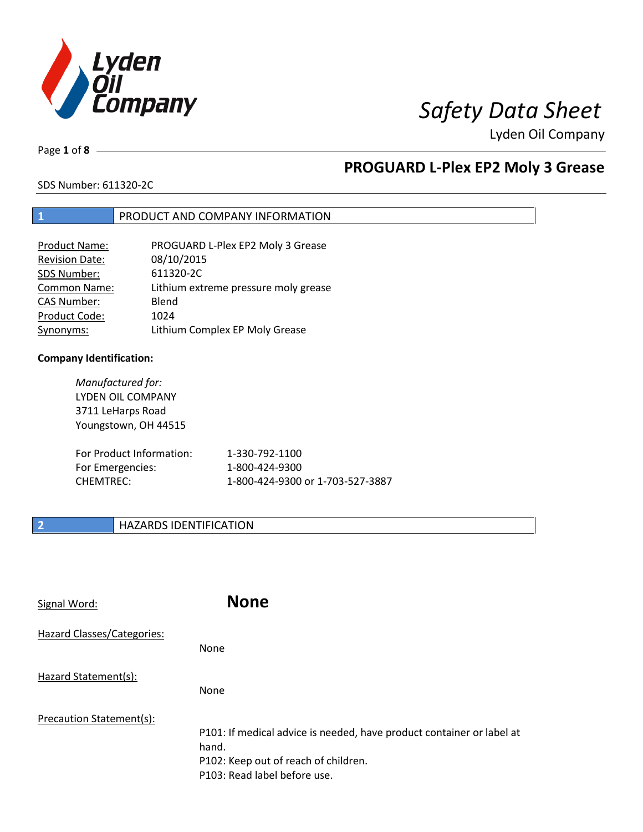

# *Safety Data Sheet*

Lyden Oil Company

Page **1** of **8**

## **PROGUARD L-Plex EP2 Moly 3 Grease**

SDS Number: 611320-2C

### **1** PRODUCT AND COMPANY INFORMATION

| <b>Product Name:</b>  | PROGUARD L-Plex EP2 Moly 3 Grease    |
|-----------------------|--------------------------------------|
| <b>Revision Date:</b> | 08/10/2015                           |
| SDS Number:           | 611320-2C                            |
| Common Name:          | Lithium extreme pressure moly grease |
| <b>CAS Number:</b>    | Blend                                |
| Product Code:         | 1024                                 |
| Synonyms:             | Lithium Complex EP Moly Grease       |

### **Company Identification:**

*Manufactured for:*  LYDEN OIL COMPANY 3711 LeHarps Road Youngstown, OH 44515 For Product Information: 1-330-792-1100 For Emergencies: 1-800-424-9300 CHEMTREC: 1-800-424-9300 or 1-703-527-3887

### **2 HAZARDS IDENTIFICATION**

| Signal Word:               | <b>None</b>                                                                                                                                            |
|----------------------------|--------------------------------------------------------------------------------------------------------------------------------------------------------|
| Hazard Classes/Categories: | <b>None</b>                                                                                                                                            |
| Hazard Statement(s):       | <b>None</b>                                                                                                                                            |
| Precaution Statement(s):   | P101: If medical advice is needed, have product container or label at<br>hand.<br>P102: Keep out of reach of children.<br>P103: Read label before use. |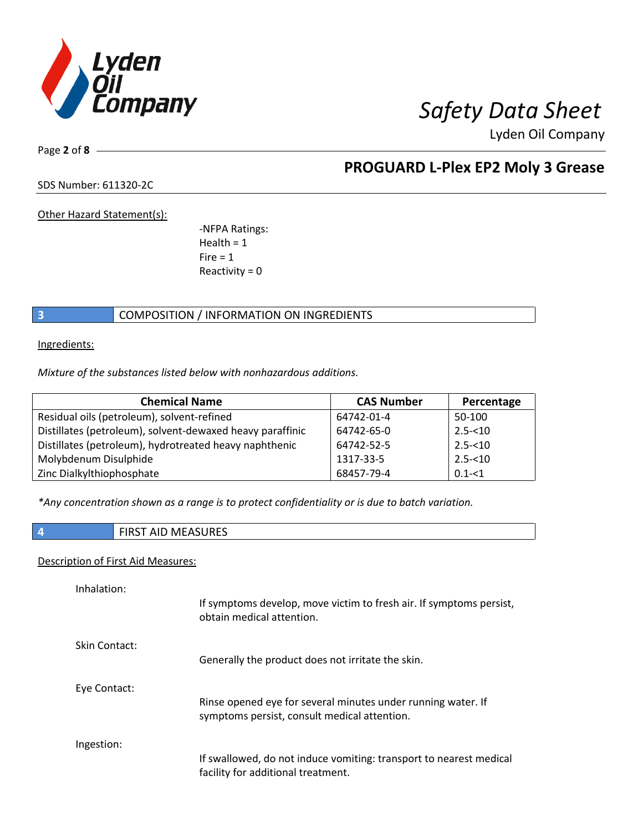

Page **2** of **8**

## **PROGUARD L-Plex EP2 Moly 3 Grease**

SDS Number: 611320-2C

Other Hazard Statement(s):

-NFPA Ratings:  $Health = 1$  $Fire = 1$ Reactivity  $= 0$ 

### **3 COMPOSITION** / INFORMATION ON INGREDIENTS

Ingredients:

*Mixture of the substances listed below with nonhazardous additions.*

| <b>Chemical Name</b>                                      | <b>CAS Number</b> | Percentage |
|-----------------------------------------------------------|-------------------|------------|
| Residual oils (petroleum), solvent-refined                | 64742-01-4        | 50-100     |
| Distillates (petroleum), solvent-dewaxed heavy paraffinic | 64742-65-0        | $2.5 - 10$ |
| Distillates (petroleum), hydrotreated heavy naphthenic    | 64742-52-5        | $2.5 - 10$ |
| Molybdenum Disulphide                                     | 1317-33-5         | $2.5 - 10$ |
| Zinc Dialkylthiophosphate                                 | 68457-79-4        | $0.1 - 1$  |

*\*Any concentration shown as a range is to protect confidentiality or is due to batch variation.*

**4** FIRST AID MEASURES

### Description of First Aid Measures:

| Inhalation:   | If symptoms develop, move victim to fresh air. If symptoms persist,<br>obtain medical attention.         |
|---------------|----------------------------------------------------------------------------------------------------------|
| Skin Contact: | Generally the product does not irritate the skin.                                                        |
| Eye Contact:  | Rinse opened eye for several minutes under running water. If                                             |
|               | symptoms persist, consult medical attention.                                                             |
| Ingestion:    |                                                                                                          |
|               | If swallowed, do not induce vomiting: transport to nearest medical<br>facility for additional treatment. |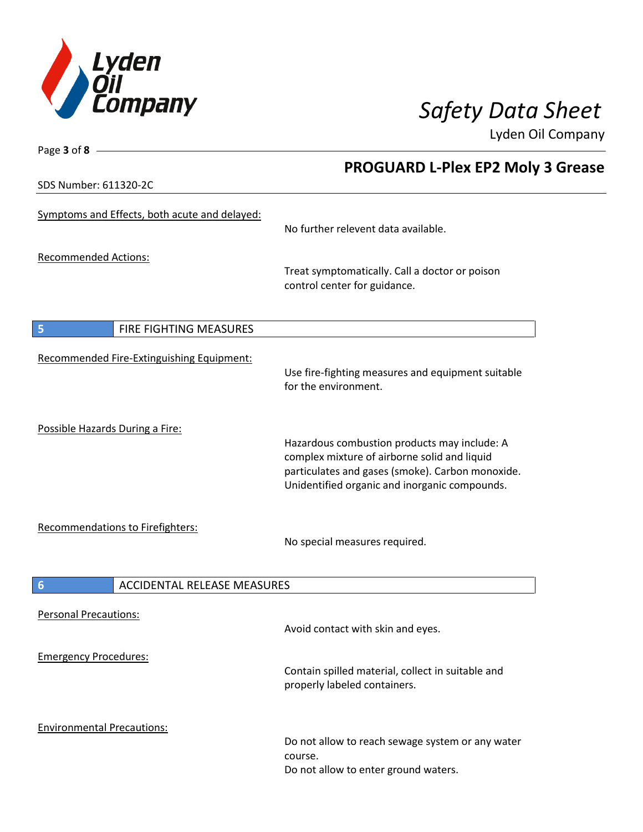

SDS Number: 611320-2C

Page **3** of **8**

## **PROGUARD L-Plex EP2 Moly 3 Grease**

| Symptoms and Effects, both acute and delayed:         | No further relevent data available.                                                                                                                                                               |
|-------------------------------------------------------|---------------------------------------------------------------------------------------------------------------------------------------------------------------------------------------------------|
| <b>Recommended Actions:</b>                           | Treat symptomatically. Call a doctor or poison<br>control center for guidance.                                                                                                                    |
| FIRE FIGHTING MEASURES<br>5                           |                                                                                                                                                                                                   |
| Recommended Fire-Extinguishing Equipment:             | Use fire-fighting measures and equipment suitable<br>for the environment.                                                                                                                         |
| Possible Hazards During a Fire:                       | Hazardous combustion products may include: A<br>complex mixture of airborne solid and liquid<br>particulates and gases (smoke). Carbon monoxide.<br>Unidentified organic and inorganic compounds. |
| Recommendations to Firefighters:                      | No special measures required.                                                                                                                                                                     |
| <b>ACCIDENTAL RELEASE MEASURES</b><br>$6\phantom{1}6$ |                                                                                                                                                                                                   |
| <b>Personal Precautions:</b>                          | Avoid contact with skin and eyes.                                                                                                                                                                 |
| <b>Emergency Procedures:</b>                          | Contain spilled material, collect in suitable and<br>properly labeled containers.                                                                                                                 |
| <b>Environmental Precautions:</b>                     | Do not allow to reach sewage system or any water<br>course.<br>Do not allow to enter ground waters.                                                                                               |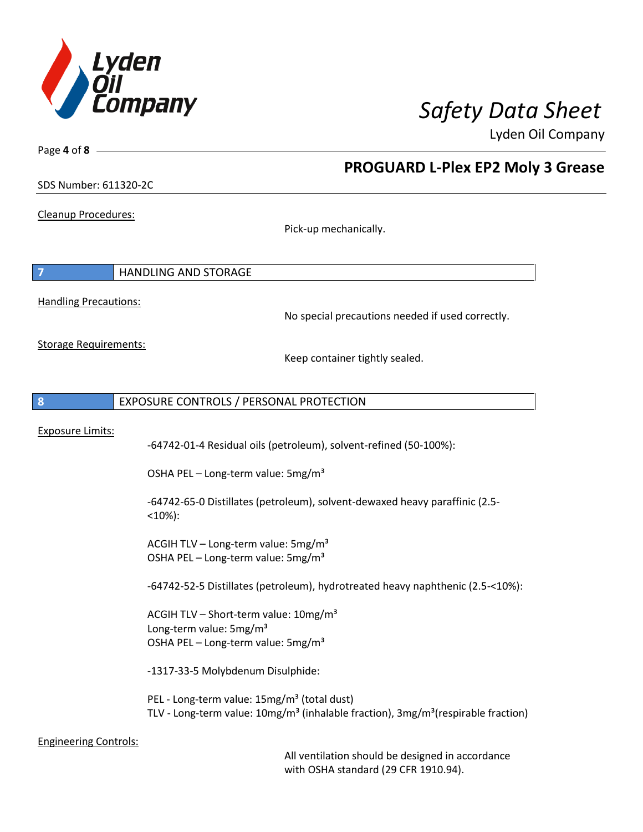

**PROGUARD L-Plex EP2 Moly 3 Grease**

Lyden Oil Company

SDS Number: 611320-2C

Cleanup Procedures:

Page **4** of **8**

Pick-up mechanically.

|                              | <b>HANDLING AND STORAGE</b> |                                                  |
|------------------------------|-----------------------------|--------------------------------------------------|
| <b>Handling Precautions:</b> |                             | No special precautions needed if used correctly. |

Storage Requirements:

Keep container tightly sealed.

### **8** EXPOSURE CONTROLS / PERSONAL PROTECTION

### Exposure Limits:

-64742-01-4 Residual oils (petroleum), solvent-refined (50-100%):

OSHA PEL – Long-term value:  $5\,\text{mg/m}^3$ 

-64742-65-0 Distillates (petroleum), solvent-dewaxed heavy paraffinic (2.5- <10%):

ACGIH TLV – Long-term value:  $5mg/m<sup>3</sup>$ OSHA PEL – Long-term value: 5mg/m<sup>3</sup>

-64742-52-5 Distillates (petroleum), hydrotreated heavy naphthenic (2.5-<10%):

ACGIH TLV – Short-term value:  $10$ mg/m<sup>3</sup> Long-term value: 5mg/m<sup>3</sup> OSHA PEL - Long-term value: 5mg/m<sup>3</sup>

-1317-33-5 Molybdenum Disulphide:

PEL - Long-term value: 15mg/m<sup>3</sup> (total dust) TLV - Long-term value:  $10mg/m<sup>3</sup>$  (inhalable fraction),  $3mg/m<sup>3</sup>$  (respirable fraction)

Engineering Controls:

All ventilation should be designed in accordance with OSHA standard (29 CFR 1910.94).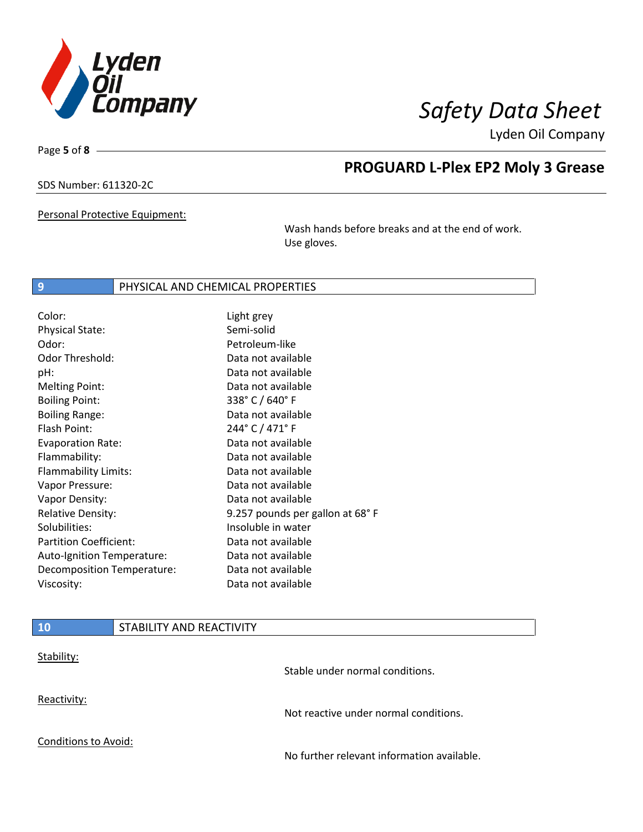

Page **5** of **8**

## **PROGUARD L-Plex EP2 Moly 3 Grease**

### SDS Number: 611320-2C

Personal Protective Equipment:

Wash hands before breaks and at the end of work. Use gloves.

### **9** PHYSICAL AND CHEMICAL PROPERTIES

| Color:                        | Light grey                      |
|-------------------------------|---------------------------------|
| <b>Physical State:</b>        | Semi-solid                      |
| Odor:                         | Petroleum-like                  |
| Odor Threshold:               | Data not available              |
| pH:                           | Data not available              |
| <b>Melting Point:</b>         | Data not available              |
| <b>Boiling Point:</b>         | 338° C / 640° F                 |
| <b>Boiling Range:</b>         | Data not available              |
| Flash Point:                  | 244° C / 471° F                 |
| <b>Evaporation Rate:</b>      | Data not available              |
| Flammability:                 | Data not available              |
| Flammability Limits:          | Data not available              |
| Vapor Pressure:               | Data not available              |
| Vapor Density:                | Data not available              |
| <b>Relative Density:</b>      | 9.257 pounds per gallon at 68°F |
| Solubilities:                 | Insoluble in water              |
| <b>Partition Coefficient:</b> | Data not available              |
| Auto-Ignition Temperature:    | Data not available              |
| Decomposition Temperature:    | Data not available              |
| Viscosity:                    | Data not available              |

## **10** STABILITY AND REACTIVITY Stability: Stable under normal conditions. Reactivity: Not reactive under normal conditions. Conditions to Avoid: No further relevant information available.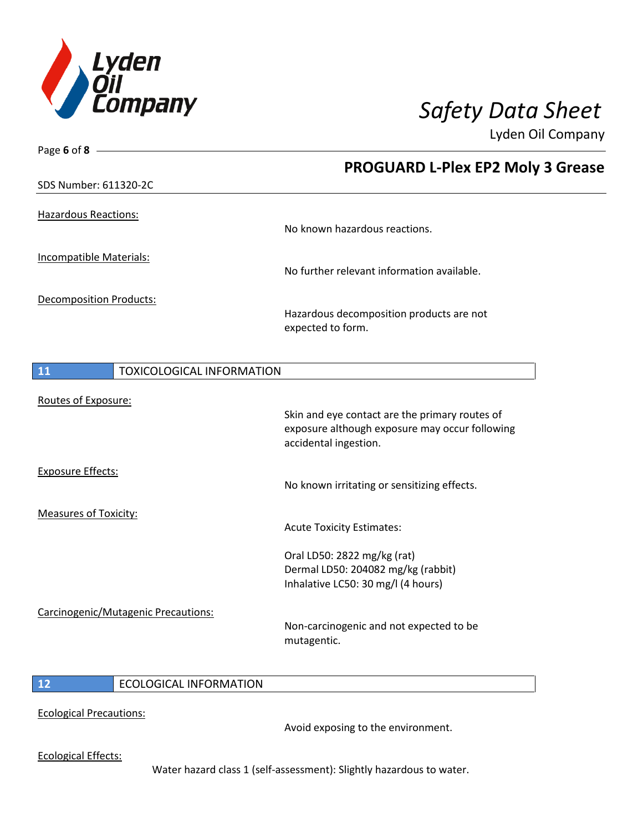

| <b>PROGUARD L-Plex EP2 Moly 3 Grease</b>                                                                                  |
|---------------------------------------------------------------------------------------------------------------------------|
|                                                                                                                           |
| No known hazardous reactions.                                                                                             |
| No further relevant information available.                                                                                |
| Hazardous decomposition products are not<br>expected to form.                                                             |
| <b>TOXICOLOGICAL INFORMATION</b>                                                                                          |
| Skin and eye contact are the primary routes of<br>exposure although exposure may occur following<br>accidental ingestion. |
| No known irritating or sensitizing effects.                                                                               |
| <b>Acute Toxicity Estimates:</b>                                                                                          |
| Oral LD50: 2822 mg/kg (rat)<br>Dermal LD50: 204082 mg/kg (rabbit)<br>Inhalative LC50: 30 mg/l (4 hours)                   |
| Non-carcinogenic and not expected to be<br>mutagentic.                                                                    |
|                                                                                                                           |
|                                                                                                                           |

Ecological Precautions:

Avoid exposing to the environment.

Ecological Effects:

Water hazard class 1 (self-assessment): Slightly hazardous to water.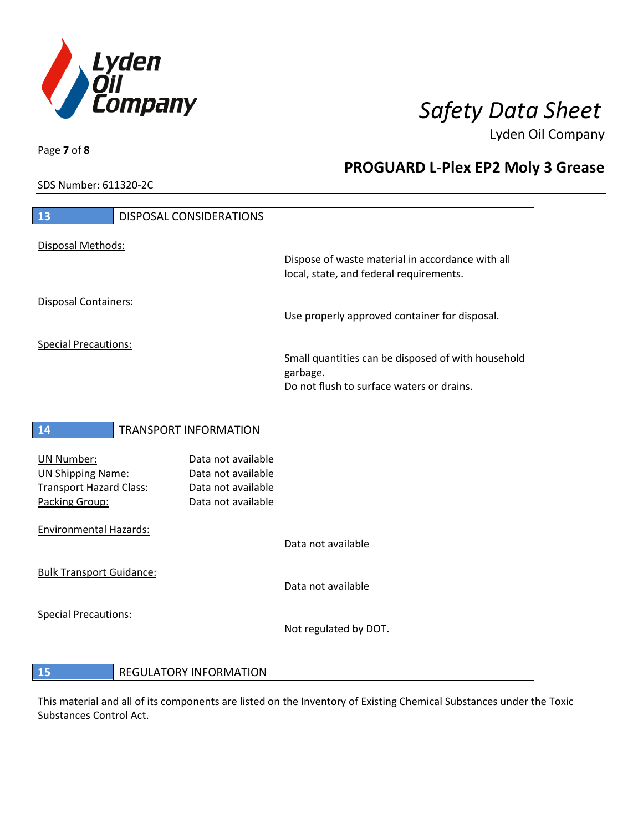

SDS Number: 611320-2C

## **PROGUARD L-Plex EP2 Moly 3 Grease**

| 13                          | <b>DISPOSAL CONSIDERATIONS</b> |                                                                                                             |
|-----------------------------|--------------------------------|-------------------------------------------------------------------------------------------------------------|
| Disposal Methods:           |                                | Dispose of waste material in accordance with all<br>local, state, and federal requirements.                 |
| <b>Disposal Containers:</b> |                                | Use properly approved container for disposal.                                                               |
| <b>Special Precautions:</b> |                                | Small quantities can be disposed of with household<br>garbage.<br>Do not flush to surface waters or drains. |

## **14** TRANSPORT INFORMATION UN Number: Data not available UN Shipping Name: Data not available Transport Hazard Class: Data not available Packing Group: Data not available Environmental Hazards: Data not available Bulk Transport Guidance: Data not available Special Precautions: Not regulated by DOT.

**15** REGULATORY INFORMATION

This material and all of its components are listed on the Inventory of Existing Chemical Substances under the Toxic Substances Control Act.

Page **7** of **8**